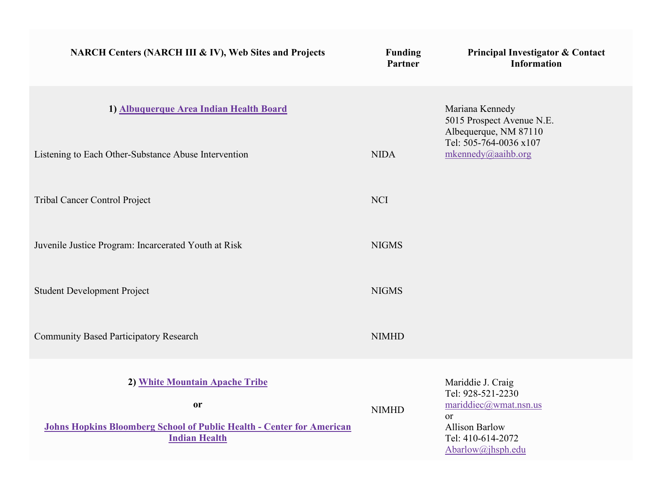| NARCH Centers (NARCH III & IV), Web Sites and Projects                                               | <b>Funding</b><br>Partner | Principal Investigator & Contact<br><b>Information</b>                       |
|------------------------------------------------------------------------------------------------------|---------------------------|------------------------------------------------------------------------------|
| 1) Albuquerque Area Indian Health Board                                                              |                           | Mariana Kennedy<br>5015 Prospect Avenue N.E.<br>Albequerque, NM 87110        |
| Listening to Each Other-Substance Abuse Intervention                                                 | <b>NIDA</b>               | Tel: 505-764-0036 x107<br>mkennedy@aaihb.org                                 |
| Tribal Cancer Control Project                                                                        | <b>NCI</b>                |                                                                              |
| Juvenile Justice Program: Incarcerated Youth at Risk                                                 | <b>NIGMS</b>              |                                                                              |
| <b>Student Development Project</b>                                                                   | <b>NIGMS</b>              |                                                                              |
| <b>Community Based Participatory Research</b>                                                        | <b>NIMHD</b>              |                                                                              |
| 2) White Mountain Apache Tribe<br>or                                                                 |                           | Mariddie J. Craig<br>Tel: 928-521-2230<br>mariddiec@wmat.nsn.us              |
| <b>Johns Hopkins Bloomberg School of Public Health - Center for American</b><br><b>Indian Health</b> | <b>NIMHD</b>              | <b>or</b><br><b>Allison Barlow</b><br>Tel: 410-614-2072<br>Abarlow@jhsph.edu |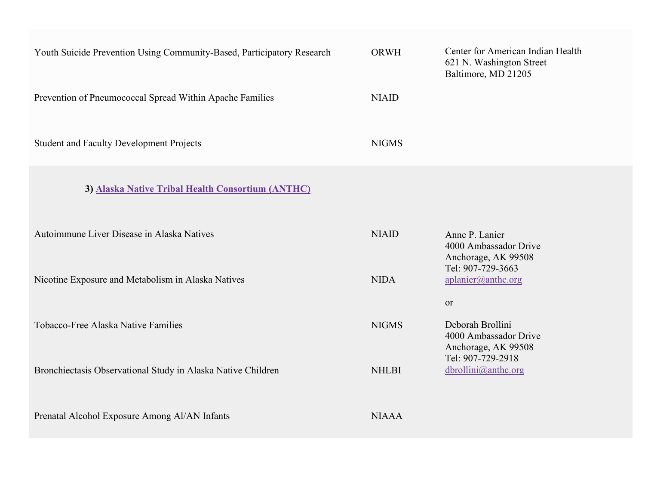| Youth Suicide Prevention Using Community-Based, Participatory Research | <b>ORWH</b>  | Center for American Indian Health<br>621 N. Washington Street<br>Baltimore, MD 21205 |
|------------------------------------------------------------------------|--------------|--------------------------------------------------------------------------------------|
| Prevention of Pneumococcal Spread Within Apache Families               | <b>NIAID</b> |                                                                                      |
| <b>Student and Faculty Development Projects</b>                        | <b>NIGMS</b> |                                                                                      |
| 3) Alaska Native Tribal Health Consortium (ANTHC)                      |              |                                                                                      |
| Autoimmune Liver Disease in Alaska Natives                             | <b>NIAID</b> | Anne P. Lanier<br>4000 Ambassador Drive<br>Anchorage, AK 99508                       |
| Nicotine Exposure and Metabolism in Alaska Natives                     | <b>NIDA</b>  | Tel: 907-729-3663<br>aplanier@anthc.org<br>or                                        |
| Tobacco-Free Alaska Native Families                                    | <b>NIGMS</b> | Deborah Brollini<br>4000 Ambassador Drive<br>Anchorage, AK 99508                     |
| Bronchiectasis Observational Study in Alaska Native Children           | <b>NHLBI</b> | Tel: 907-729-2918<br>dbrollini@anthc.org                                             |
| Prenatal Alcohol Exposure Among Al/AN Infants                          | <b>NIAAA</b> |                                                                                      |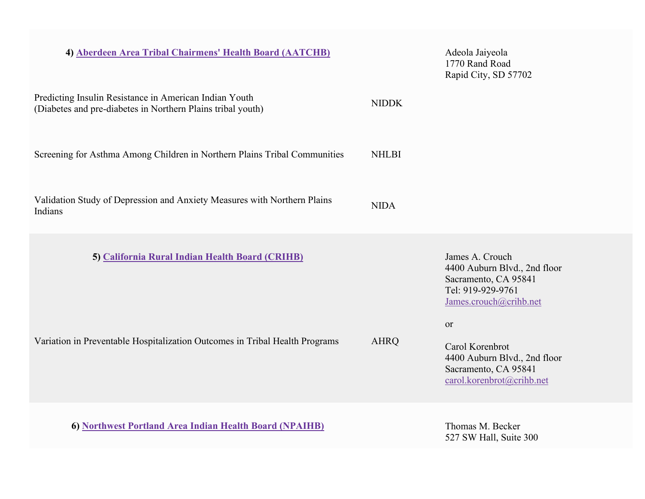| 4) Aberdeen Area Tribal Chairmens' Health Board (AATCHB)                                                                       |              | Adeola Jaiyeola<br>1770 Rand Road<br>Rapid City, SD 57702                                                                                                                                                                                       |
|--------------------------------------------------------------------------------------------------------------------------------|--------------|-------------------------------------------------------------------------------------------------------------------------------------------------------------------------------------------------------------------------------------------------|
| Predicting Insulin Resistance in American Indian Youth<br>(Diabetes and pre-diabetes in Northern Plains tribal youth)          | <b>NIDDK</b> |                                                                                                                                                                                                                                                 |
| Screening for Asthma Among Children in Northern Plains Tribal Communities                                                      | <b>NHLBI</b> |                                                                                                                                                                                                                                                 |
| Validation Study of Depression and Anxiety Measures with Northern Plains<br>Indians                                            | <b>NIDA</b>  |                                                                                                                                                                                                                                                 |
| 5) California Rural Indian Health Board (CRIHB)<br>Variation in Preventable Hospitalization Outcomes in Tribal Health Programs | <b>AHRQ</b>  | James A. Crouch<br>4400 Auburn Blvd., 2nd floor<br>Sacramento, CA 95841<br>Tel: 919-929-9761<br>James.crouch@crihb.net<br><sub>or</sub><br>Carol Korenbrot<br>4400 Auburn Blvd., 2nd floor<br>Sacramento, CA 95841<br>carol.korenbrot@crihb.net |
| 6) Northwest Portland Area Indian Health Board (NPAIHB)                                                                        |              | Thomas M. Becker<br>527 SW Hall, Suite 300                                                                                                                                                                                                      |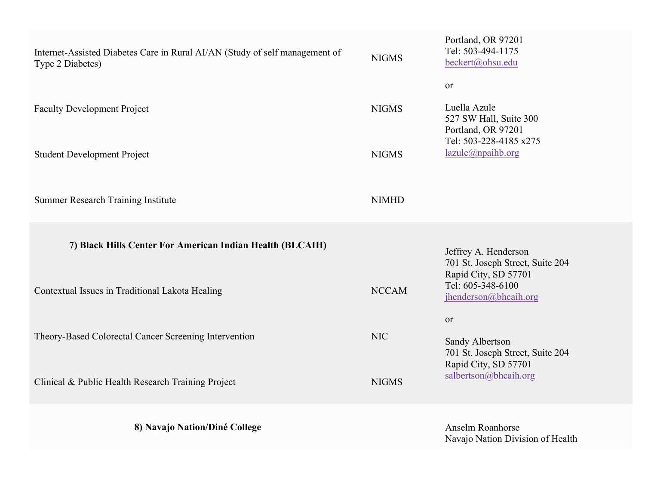| Internet-Assisted Diabetes Care in Rural AI/AN (Study of self management of<br>Type 2 Diabetes) | <b>NIGMS</b>                 | Portland, OR 97201<br>Tel: 503-494-1175<br>beckert@ohsu.edu<br><sub>or</sub>                                |
|-------------------------------------------------------------------------------------------------|------------------------------|-------------------------------------------------------------------------------------------------------------|
| <b>Faculty Development Project</b><br><b>Student Development Project</b>                        | <b>NIGMS</b><br><b>NIGMS</b> | Luella Azule<br>527 SW Hall, Suite 300<br>Portland, OR 97201<br>Tel: 503-228-4185 x275<br>lazule@npaihb.org |
| <b>Summer Research Training Institute</b>                                                       | <b>NIMHD</b>                 |                                                                                                             |
| 7) Black Hills Center For American Indian Health (BLCAIH)                                       |                              | Jeffrey A. Henderson<br>701 St. Joseph Street, Suite 204<br>Rapid City, SD 57701                            |
| Contextual Issues in Traditional Lakota Healing                                                 | <b>NCCAM</b>                 | Tel: 605-348-6100<br>jhenderson@bhcaih.org                                                                  |
| Theory-Based Colorectal Cancer Screening Intervention                                           | <b>NIC</b>                   | or<br>Sandy Albertson<br>701 St. Joseph Street, Suite 204<br>Rapid City, SD 57701                           |
| Clinical & Public Health Research Training Project                                              | <b>NIGMS</b>                 | salbertson@bhcaih.org                                                                                       |
| 8) Navajo Nation/Diné College                                                                   |                              | Anselm Roanhorse<br>Navajo Nation Division of Health                                                        |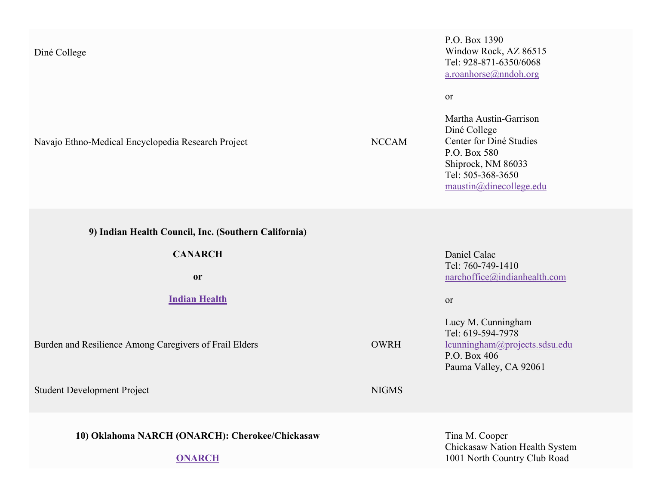## Diné College

Navajo Ethno-Medical Encyclopedia Research Project NCCAM

P.O. Box 1390 Window Rock, AZ 86515 Tel: 928-871-6350/6068 [a.roanhorse@nndoh.org](mailto:a.roanhorse@nndoh.org)

or

Martha Austin-Garrison Diné College Center for Diné Studies P.O. Box 580 Shiprock, NM 86033 Tel: 505-368-3650 [maustin@dinecollege.edu](mailto:maustin@dinecollege.edu)

**9) Indian Health Council, Inc. (Southern California)**

**CANARCH**

**or**

**[Indian Health](http://www.indianhealth.com/)**

Burden and Resilience Among Caregivers of Frail Elders **OWRH** 

Student Development Project NIGMS

**10) Oklahoma NARCH (ONARCH): Cherokee/Chickasaw**

**[ONARCH](http://www.cherokee.org/)**

Daniel Calac Tel: 760-749-1410 [narchoffice@indianhealth.com](mailto:narchoffice@indianhealth.com)

or

Lucy M. Cunningham Tel: 619-594-7978 [lcunningham@projects.sdsu.edu](mailto:lcunningham@projects.sdsu.edu) P.O. Box 406 Pauma Valley, CA 92061

Tina M. Cooper Chickasaw Nation Health System 1001 North Country Club Road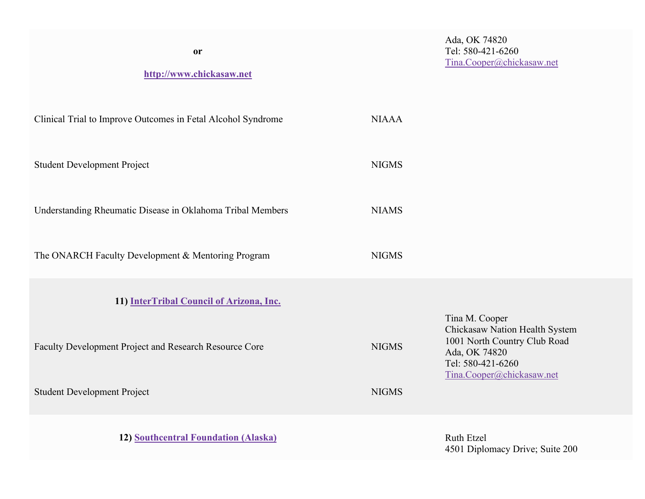| <b>or</b><br>http://www.chickasaw.net                        |              | Ada, OK 74820<br>Tel: 580-421-6260<br>Tina.Cooper@chickasaw.net                                                                   |
|--------------------------------------------------------------|--------------|-----------------------------------------------------------------------------------------------------------------------------------|
| Clinical Trial to Improve Outcomes in Fetal Alcohol Syndrome | <b>NIAAA</b> |                                                                                                                                   |
| <b>Student Development Project</b>                           | <b>NIGMS</b> |                                                                                                                                   |
| Understanding Rheumatic Disease in Oklahoma Tribal Members   | <b>NIAMS</b> |                                                                                                                                   |
| The ONARCH Faculty Development & Mentoring Program           | <b>NIGMS</b> |                                                                                                                                   |
| 11) InterTribal Council of Arizona, Inc.                     |              | Tina M. Cooper                                                                                                                    |
| Faculty Development Project and Research Resource Core       | <b>NIGMS</b> | Chickasaw Nation Health System<br>1001 North Country Club Road<br>Ada, OK 74820<br>Tel: 580-421-6260<br>Tina.Cooper@chickasaw.net |
| <b>Student Development Project</b>                           | <b>NIGMS</b> |                                                                                                                                   |
|                                                              |              |                                                                                                                                   |

**12) <u>[Southcentral Foundation \(Alaska\)](https://www.southcentralfoundation.com/)</u>** 

4501 Diplomacy Drive; Suite 200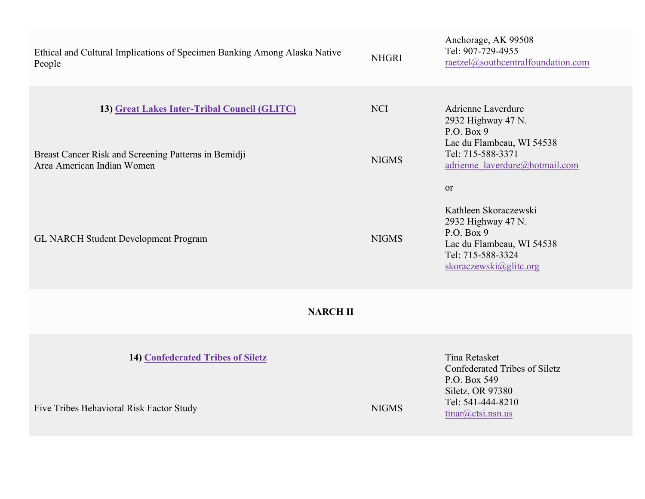| <b>NHGRI</b>               | Anchorage, AK 99508<br>Tel: 907-729-4955<br>raetzel@southcentralfoundation.com                                                                           |  |  |
|----------------------------|----------------------------------------------------------------------------------------------------------------------------------------------------------|--|--|
| <b>NCI</b><br><b>NIGMS</b> | Adrienne Laverdure<br>2932 Highway 47 N.<br>P.O. Box 9<br>Lac du Flambeau, WI 54538<br>Tel: 715-588-3371<br>adrienne laverdure@hotmail.com               |  |  |
| <b>NIGMS</b>               | <sub>or</sub><br>Kathleen Skoraczewski<br>2932 Highway 47 N.<br>P.O. Box $9$<br>Lac du Flambeau, WI 54538<br>Tel: 715-588-3324<br>skoraczewski@glito.org |  |  |
| <b>NARCH II</b>            |                                                                                                                                                          |  |  |
| <b>NIGMS</b>               | Tina Retasket<br>Confederated Tribes of Siletz<br>P.O. Box 549<br>Siletz, OR 97380<br>Tel: 541-444-8210<br>tinar@ctsi.nsn.us                             |  |  |
|                            |                                                                                                                                                          |  |  |